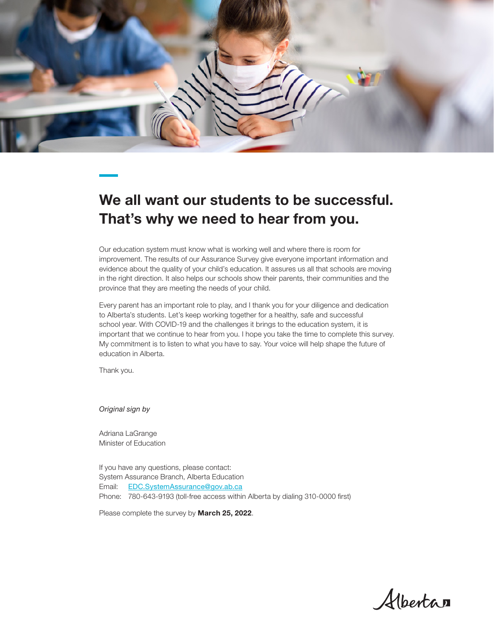

## We all want our students to be successful. That's why we need to hear from you.

Our education system must know what is working well and where there is room for improvement. The results of our Assurance Survey give everyone important information and evidence about the quality of your child's education. It assures us all that schools are moving in the right direction. It also helps our schools show their parents, their communities and the province that they are meeting the needs of your child.

Every parent has an important role to play, and I thank you for your diligence and dedication to Alberta's students. Let's keep working together for a healthy, safe and successful school year. With COVID-19 and the challenges it brings to the education system, it is important that we continue to hear from you. I hope you take the time to complete this survey. My commitment is to listen to what you have to say. Your voice will help shape the future of education in Alberta.

Thank you.

*Original sign by*

Adriana LaGrange Minister of Education

If you have any questions, please contact: System Assurance Branch, Alberta Education Email: [EDC.SystemAssurance@gov.ab.ca](mailto:EDC.SystemAssurance%40gov.ab.ca?subject=) Phone: 780-643-9193 (toll-free access within Alberta by dialing 310-0000 first)

Please complete the survey by **March 25, 2022**.

Albertan